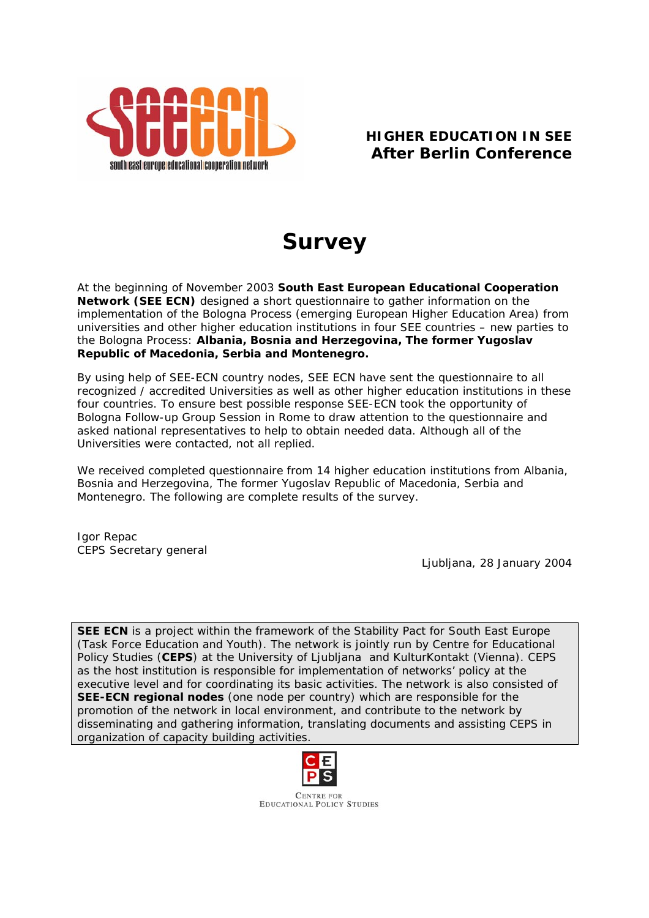

## **HIGHER EDUCATION IN SEE**  *After Berlin Conference*

# *Survey*

At the beginning of November 2003 *South East European Educational Cooperation Network (SEE ECN)* designed a short questionnaire to gather information on the implementation of the Bologna Process (emerging European Higher Education Area) from *universities and other higher education institutions in four SEE countries – new parties to the Bologna Process*: **Albania, Bosnia and Herzegovina, The former Yugoslav Republic of Macedonia, Serbia and Montenegro.** 

By using help of SEE-ECN country nodes, SEE ECN have sent the questionnaire to all recognized / accredited Universities as well as other higher education institutions in these four countries. To ensure best possible response SEE-ECN took the opportunity of Bologna Follow-up Group Session in Rome to draw attention to the questionnaire and asked national representatives to help to obtain needed data. Although all of the Universities were contacted, not all replied.

We received completed questionnaire from 14 higher education institutions from Albania, Bosnia and Herzegovina, The former Yugoslav Republic of Macedonia, Serbia and Montenegro. The following are complete results of the survey.

Igor Repac *CEPS Secretary general* 

*Ljubljana, 28 January 2004* 

*SEE ECN is a project within the framework of the Stability Pact for South East Europe (Task Force Education and Youth). The network is jointly run by Centre for Educational Policy Studies (CEPS) at the University of Ljubljana and KulturKontakt (Vienna). CEPS as the host institution is responsible for implementation of networks' policy at the executive level and for coordinating its basic activities. The network is also consisted of SEE-ECN regional nodes (one node per country) which are responsible for the promotion of the network in local environment, and contribute to the network by disseminating and gathering information, translating documents and assisting CEPS in organization of capacity building activities.* 



**CENTRE FOR EDUCATIONAL POLICY STUDIES**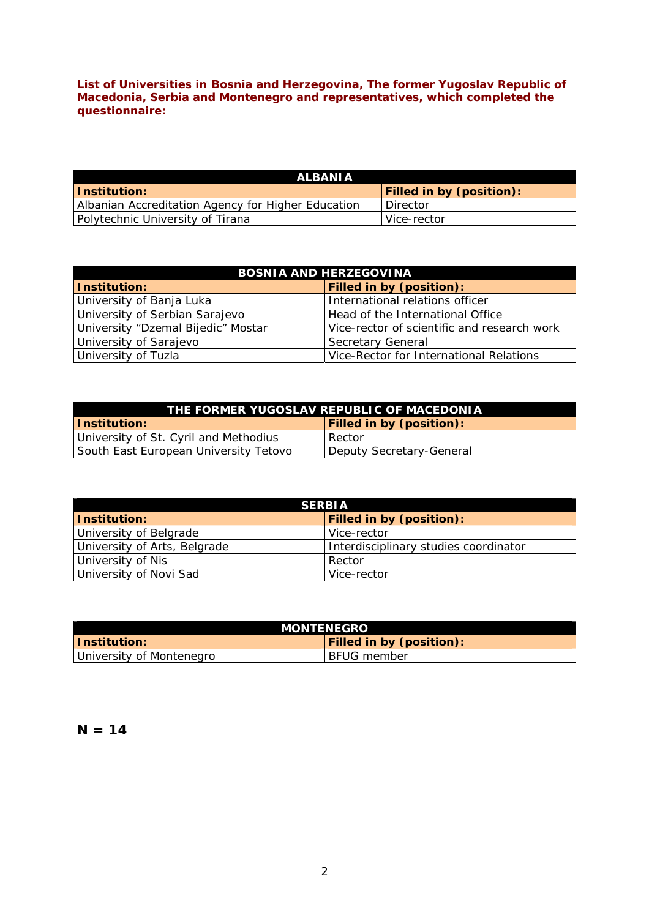*List of Universities in Bosnia and Herzegovina, The former Yugoslav Republic of Macedonia, Serbia and Montenegro and representatives, which completed the questionnaire:* 

| <b>ALBANIA</b>                                     |                                 |
|----------------------------------------------------|---------------------------------|
| <u> Institution:</u>                               | <b>Filled in by (position):</b> |
| Albanian Accreditation Agency for Higher Education | I Director                      |
| Polytechnic University of Tirana                   | Vice-rector                     |

| <b>BOSNIA AND HERZEGOVINA</b>      |                                             |  |
|------------------------------------|---------------------------------------------|--|
| Institution:                       | Filled in by (position):                    |  |
| University of Banja Luka           | International relations officer             |  |
| University of Serbian Sarajevo     | Head of the International Office            |  |
| University "Dzemal Bijedic" Mostar | Vice-rector of scientific and research work |  |
| University of Sarajevo             | Secretary General                           |  |
| University of Tuzla                | Vice-Rector for International Relations     |  |

| THE FORMER YUGOSLAV REPUBLIC OF MACEDONIA |                                 |  |
|-------------------------------------------|---------------------------------|--|
| <u> Institution:</u>                      | <b>Filled in by (position):</b> |  |
| University of St. Cyril and Methodius     | Rector                          |  |
| South East European University Tetovo     | Deputy Secretary-General        |  |

| <b>SERBIA</b>                |                                       |  |
|------------------------------|---------------------------------------|--|
| <b>Institution:</b>          | <b>Filled in by (position):</b>       |  |
| University of Belgrade       | Vice-rector                           |  |
| University of Arts, Belgrade | Interdisciplinary studies coordinator |  |
| University of Nis            | Rector                                |  |
| University of Novi Sad       | Vice-rector                           |  |

| <i><b>MONTENEGRO</b></i> |                                 |  |
|--------------------------|---------------------------------|--|
| Thstitution: I           | <b>Filled in by (position):</b> |  |
| University of Montenegro | BFUG member                     |  |

**N = 14**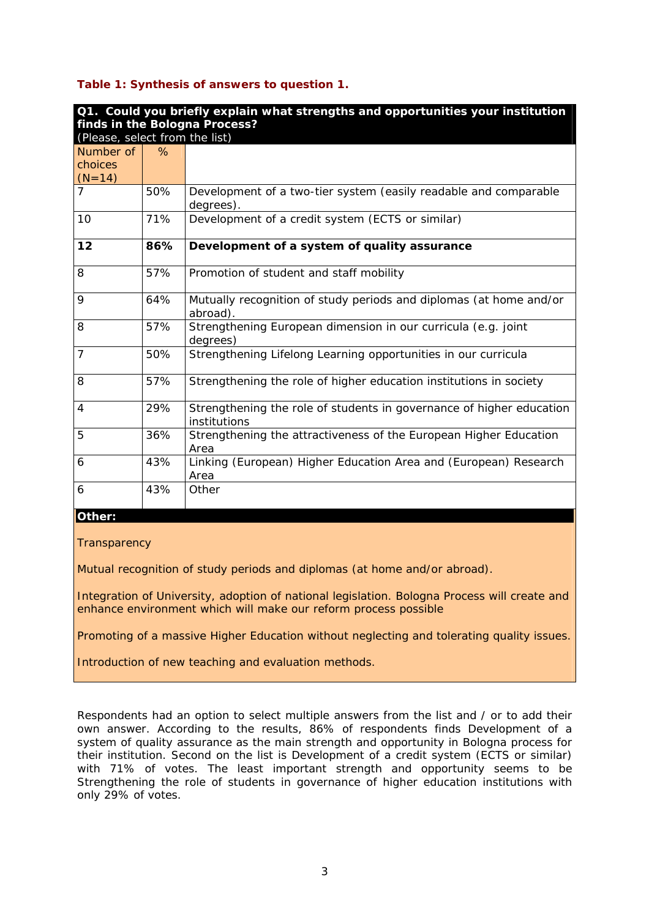#### **Table 1: Synthesis of answers to question 1.**

| Q1. Could you briefly explain what strengths and opportunities your institution<br>finds in the Bologna Process? |      |                                                                                      |
|------------------------------------------------------------------------------------------------------------------|------|--------------------------------------------------------------------------------------|
| (Please, select from the list)                                                                                   |      |                                                                                      |
| Number of                                                                                                        | $\%$ |                                                                                      |
| choices<br>$(N=14)$                                                                                              |      |                                                                                      |
| 7                                                                                                                | 50%  | Development of a two-tier system (easily readable and comparable<br>degrees).        |
| 10                                                                                                               | 71%  | Development of a credit system (ECTS or similar)                                     |
| 12                                                                                                               | 86%  | Development of a system of quality assurance                                         |
| 8                                                                                                                | 57%  | Promotion of student and staff mobility                                              |
| 9                                                                                                                | 64%  | Mutually recognition of study periods and diplomas (at home and/or<br>abroad).       |
| 8                                                                                                                | 57%  | Strengthening European dimension in our curricula (e.g. joint<br>degrees)            |
| 7                                                                                                                | 50%  | Strengthening Lifelong Learning opportunities in our curricula                       |
| 8                                                                                                                | 57%  | Strengthening the role of higher education institutions in society                   |
| 4                                                                                                                | 29%  | Strengthening the role of students in governance of higher education<br>institutions |
| 5                                                                                                                | 36%  | Strengthening the attractiveness of the European Higher Education<br>Area            |
| 6                                                                                                                | 43%  | Linking (European) Higher Education Area and (European) Research<br>Area             |
| 6                                                                                                                | 43%  | Other                                                                                |

#### *Other:*

**Transparency** 

Mutual recognition of study periods and diplomas (at home and/or abroad).

Integration of University, adoption of national legislation. Bologna Process will create and enhance environment which will make our reform process possible

Promoting of a massive Higher Education without neglecting and tolerating quality issues.

Introduction of new teaching and evaluation methods.

Respondents had an option to select multiple answers from the list and / or to add their own answer. According to the results, 86% of respondents finds *Development of a system of quality assurance* as the main strength and opportunity in Bologna process for their institution. Second on the list is *Development of a credit system (ECTS or similar)*  with 71% of votes. The least important strength and opportunity seems to be *Strengthening the role of students in governance of higher education institutions* with only 29% of votes.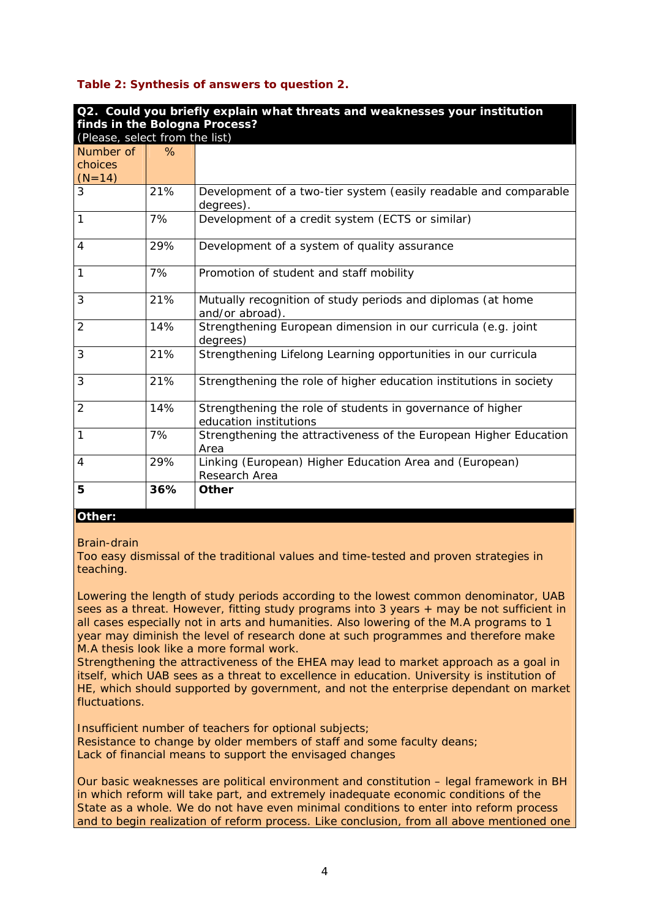#### **Table 2: Synthesis of answers to question 2.**

| Q2. Could you briefly explain what threats and weaknesses your institution |      |                                                                                      |
|----------------------------------------------------------------------------|------|--------------------------------------------------------------------------------------|
| finds in the Bologna Process?                                              |      |                                                                                      |
| (Please, select from the list)                                             |      |                                                                                      |
| Number of                                                                  | $\%$ |                                                                                      |
| choices                                                                    |      |                                                                                      |
| $(N=14)$                                                                   |      |                                                                                      |
| 3                                                                          | 21%  | Development of a two-tier system (easily readable and comparable<br>degrees).        |
| 1                                                                          | 7%   | Development of a credit system (ECTS or similar)                                     |
| 4                                                                          | 29%  | Development of a system of quality assurance                                         |
| 1                                                                          | 7%   | Promotion of student and staff mobility                                              |
| 3                                                                          | 21%  | Mutually recognition of study periods and diplomas (at home<br>and/or abroad).       |
| $\overline{2}$                                                             | 14%  | Strengthening European dimension in our curricula (e.g. joint<br>degrees)            |
| 3                                                                          | 21%  | Strengthening Lifelong Learning opportunities in our curricula                       |
| 3                                                                          | 21%  | Strengthening the role of higher education institutions in society                   |
| $\overline{2}$                                                             | 14%  | Strengthening the role of students in governance of higher<br>education institutions |
| 1                                                                          | 7%   | Strengthening the attractiveness of the European Higher Education<br>Area            |
| 4                                                                          | 29%  | Linking (European) Higher Education Area and (European)<br>Research Area             |
| 5                                                                          | 36%  | Other                                                                                |

#### *Other:*

#### Brain-drain

Too easy dismissal of the traditional values and time-tested and proven strategies in teaching.

Lowering the length of study periods according to the lowest common denominator, UAB sees as a threat. However, fitting study programs into 3 years + may be not sufficient in all cases especially not in arts and humanities. Also lowering of the M.A programs to 1 year may diminish the level of research done at such programmes and therefore make M.A thesis look like a more formal work.

Strengthening the attractiveness of the EHEA may lead to market approach as a goal in itself, which UAB sees as a threat to excellence in education. University is institution of HE, which should supported by government, and not the enterprise dependant on market fluctuations.

Insufficient number of teachers for optional subjects; Resistance to change by older members of staff and some faculty deans; Lack of financial means to support the envisaged changes

Our basic weaknesses are political environment and constitution – legal framework in BH in which reform will take part, and extremely inadequate economic conditions of the State as a whole. We do not have even minimal conditions to enter into reform process and to begin realization of reform process. Like conclusion, from all above mentioned one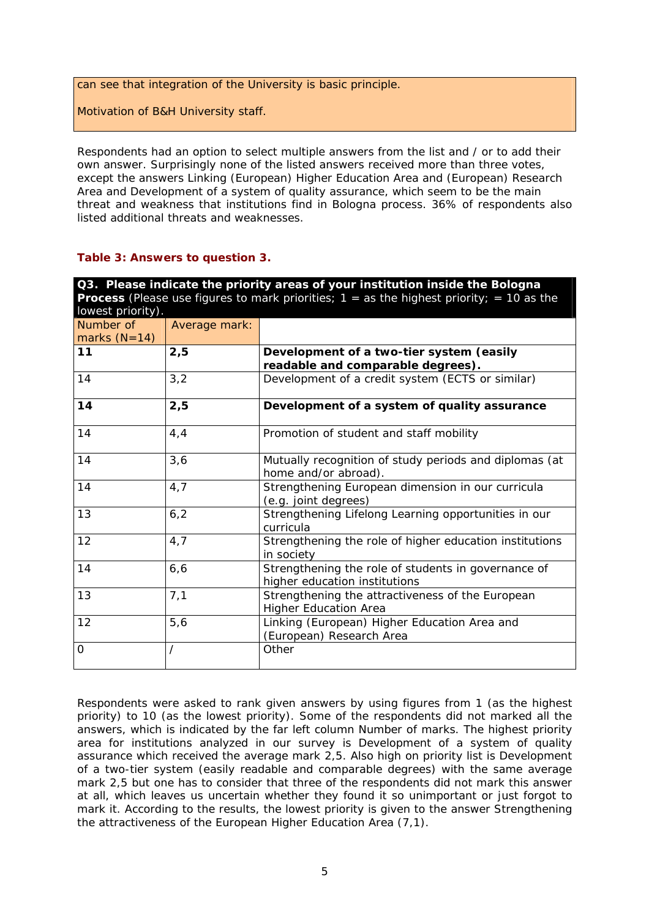can see that integration of the University is basic principle.

Motivation of B&H University staff.

Respondents had an option to select multiple answers from the list and / or to add their own answer. Surprisingly none of the listed answers received more than three votes, except the answers *Linking (European) Higher Education Area and (European) Research Area* and *Development of a system of quality assurance,* which seem to be the main threat and weakness that institutions find in Bologna process. 36% of respondents also listed additional threats and weaknesses.

#### **Table 3: Answers to question 3.**

| Q3. Please indicate the priority areas of your institution inside the Bologna<br><b>Process</b> (Please use figures to mark priorities; $1 =$ as the highest priority; = 10 as the<br>lowest priority). |               |                                                                                      |
|---------------------------------------------------------------------------------------------------------------------------------------------------------------------------------------------------------|---------------|--------------------------------------------------------------------------------------|
| Number of<br>marks $(N=14)$                                                                                                                                                                             | Average mark: |                                                                                      |
| 11                                                                                                                                                                                                      | 2,5           | Development of a two-tier system (easily<br>readable and comparable degrees).        |
| 14                                                                                                                                                                                                      | 3,2           | Development of a credit system (ECTS or similar)                                     |
| 14                                                                                                                                                                                                      | 2,5           | Development of a system of quality assurance                                         |
| 14                                                                                                                                                                                                      | 4, 4          | Promotion of student and staff mobility                                              |
| 14                                                                                                                                                                                                      | 3,6           | Mutually recognition of study periods and diplomas (at<br>home and/or abroad).       |
| 14                                                                                                                                                                                                      | 4,7           | Strengthening European dimension in our curricula<br>(e.g. joint degrees)            |
| 13                                                                                                                                                                                                      | 6, 2          | Strengthening Lifelong Learning opportunities in our<br>curricula                    |
| 12                                                                                                                                                                                                      | 4,7           | Strengthening the role of higher education institutions<br>in society                |
| 14                                                                                                                                                                                                      | 6, 6          | Strengthening the role of students in governance of<br>higher education institutions |
| 13                                                                                                                                                                                                      | 7,1           | Strengthening the attractiveness of the European<br><b>Higher Education Area</b>     |
| 12                                                                                                                                                                                                      | 5,6           | Linking (European) Higher Education Area and<br>(European) Research Area             |
| 0                                                                                                                                                                                                       |               | Other                                                                                |

Respondents were asked to rank given answers by using figures from 1 (as the highest priority) to 10 (as the lowest priority). Some of the respondents did not marked all the answers, which is indicated by the far left column *Number of marks.* The highest priority area for institutions analyzed in our survey is *Development of a system of quality assurance* which received the average mark 2,5. Also high on priority list is *Development of a two-tier system (easily readable and comparable degrees)* with the same average mark 2,5 but one has to consider that three of the respondents did not mark this answer at all, which leaves us uncertain whether they found it so unimportant or just forgot to mark it. According to the results, the lowest priority is given to the answer *Strengthening the attractiveness of the European Higher Education Area* (7,1).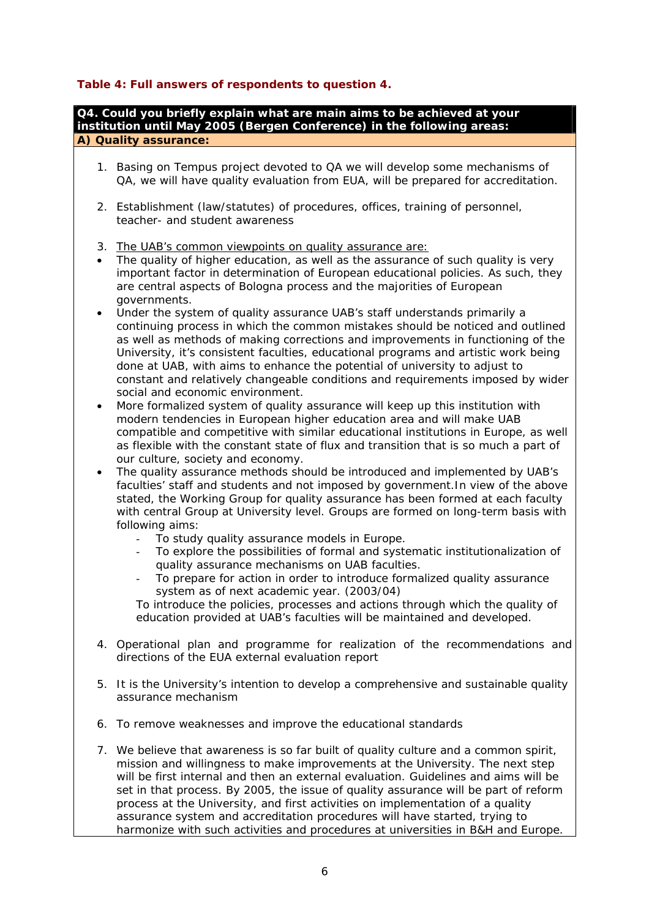### **Table 4: Full answers of respondents to question 4.**

**Q4. Could you briefly explain what are main aims to be achieved at your** 

|           | Q4. Could you briefly explain what are main aims to be achieved at your<br>institution until May 2005 (Bergen Conference) in the following areas:                                                                                                                                                                                                                                                                                                                                                                                                                                                                                                                                                                                                                                                                                    |
|-----------|--------------------------------------------------------------------------------------------------------------------------------------------------------------------------------------------------------------------------------------------------------------------------------------------------------------------------------------------------------------------------------------------------------------------------------------------------------------------------------------------------------------------------------------------------------------------------------------------------------------------------------------------------------------------------------------------------------------------------------------------------------------------------------------------------------------------------------------|
|           | A) Quality assurance:                                                                                                                                                                                                                                                                                                                                                                                                                                                                                                                                                                                                                                                                                                                                                                                                                |
|           | 1. Basing on Tempus project devoted to QA we will develop some mechanisms of<br>QA, we will have quality evaluation from EUA, will be prepared for accreditation.                                                                                                                                                                                                                                                                                                                                                                                                                                                                                                                                                                                                                                                                    |
|           | 2. Establishment (law/statutes) of procedures, offices, training of personnel,<br>teacher- and student awareness                                                                                                                                                                                                                                                                                                                                                                                                                                                                                                                                                                                                                                                                                                                     |
|           | 3. The UAB's common viewpoints on quality assurance are:                                                                                                                                                                                                                                                                                                                                                                                                                                                                                                                                                                                                                                                                                                                                                                             |
| $\bullet$ | The quality of higher education, as well as the assurance of such quality is very<br>important factor in determination of European educational policies. As such, they<br>are central aspects of Bologna process and the majorities of European<br>governments.                                                                                                                                                                                                                                                                                                                                                                                                                                                                                                                                                                      |
| ٠         | Under the system of quality assurance UAB's staff understands primarily a<br>continuing process in which the common mistakes should be noticed and outlined<br>as well as methods of making corrections and improvements in functioning of the<br>University, it's consistent faculties, educational programs and artistic work being<br>done at UAB, with aims to enhance the potential of university to adjust to<br>constant and relatively changeable conditions and requirements imposed by wider<br>social and economic environment.                                                                                                                                                                                                                                                                                           |
| ٠         | More formalized system of quality assurance will keep up this institution with<br>modern tendencies in European higher education area and will make UAB<br>compatible and competitive with similar educational institutions in Europe, as well<br>as flexible with the constant state of flux and transition that is so much a part of<br>our culture, society and economy.                                                                                                                                                                                                                                                                                                                                                                                                                                                          |
|           | The quality assurance methods should be introduced and implemented by UAB's<br>faculties' staff and students and not imposed by government. In view of the above<br>stated, the Working Group for quality assurance has been formed at each faculty<br>with central Group at University level. Groups are formed on long-term basis with<br>following aims:<br>To study quality assurance models in Europe.<br>To explore the possibilities of formal and systematic institutionalization of<br>quality assurance mechanisms on UAB faculties.<br>To prepare for action in order to introduce formalized quality assurance<br>system as of next academic year. (2003/04)<br>To introduce the policies, processes and actions through which the quality of<br>education provided at UAB's faculties will be maintained and developed. |
|           | 4. Operational plan and programme for realization of the recommendations and<br>directions of the EUA external evaluation report                                                                                                                                                                                                                                                                                                                                                                                                                                                                                                                                                                                                                                                                                                     |
|           | 5. It is the University's intention to develop a comprehensive and sustainable quality<br>assurance mechanism                                                                                                                                                                                                                                                                                                                                                                                                                                                                                                                                                                                                                                                                                                                        |
| 6.        | To remove weaknesses and improve the educational standards                                                                                                                                                                                                                                                                                                                                                                                                                                                                                                                                                                                                                                                                                                                                                                           |
|           | 7. We believe that awareness is so far built of quality culture and a common spirit,<br>mission and willingness to make improvements at the University. The next step<br>will be first internal and then an external evaluation. Guidelines and aims will be<br>set in that process. By 2005, the issue of quality assurance will be part of reform<br>process at the University, and first activities on implementation of a quality<br>assurance system and accreditation procedures will have started, trying to<br>harmonize with such activities and procedures at universities in B&H and Europe.                                                                                                                                                                                                                              |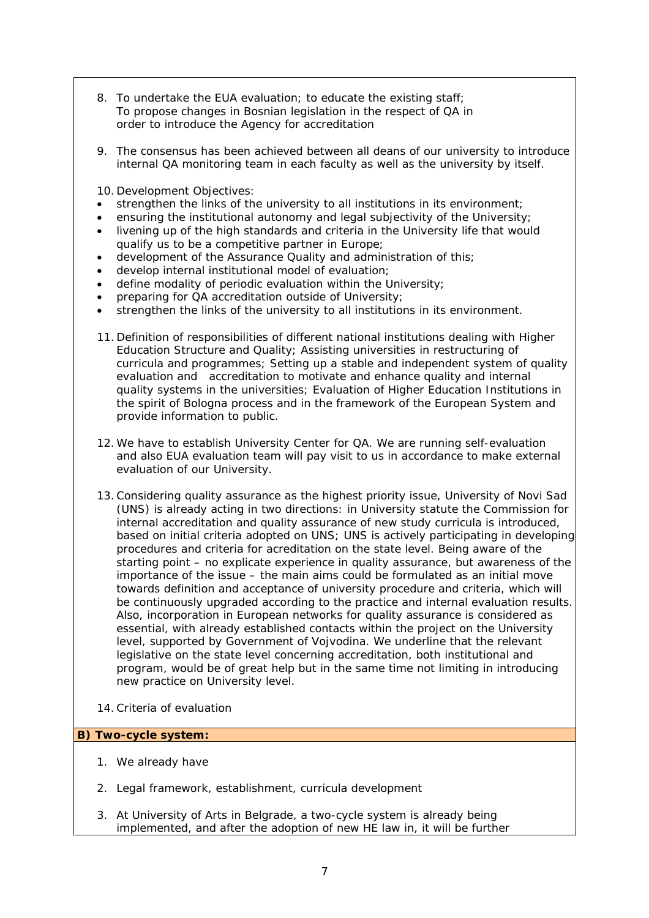- 8. To undertake the EUA evaluation; to educate the existing staff; To propose changes in Bosnian legislation in the respect of QA in order to introduce the Agency for accreditation
- 9. The consensus has been achieved between all deans of our university to introduce internal QA monitoring team in each faculty as well as the university by itself.

10. Development Objectives:

- strengthen the links of the university to all institutions in its environment;
- ensuring the institutional autonomy and legal subjectivity of the University;
- livening up of the high standards and criteria in the University life that would qualify us to be a competitive partner in Europe;
- development of the Assurance Quality and administration of this;
- develop internal institutional model of evaluation;
- define modality of periodic evaluation within the University;
- preparing for QA accreditation outside of University;
- strengthen the links of the university to all institutions in its environment.
- 11. Definition of responsibilities of different national institutions dealing with Higher Education Structure and Quality; Assisting universities in restructuring of curricula and programmes; Setting up a stable and independent system of quality evaluation and accreditation to motivate and enhance quality and internal quality systems in the universities; Evaluation of Higher Education Institutions in the spirit of Bologna process and in the framework of the European System and provide information to public.
- 12.We have to establish University Center for QA. We are running self-evaluation and also EUA evaluation team will pay visit to us in accordance to make external evaluation of our University.
- 13.Considering quality assurance as the highest priority issue, University of Novi Sad (UNS) is already acting in two directions: in University statute the Commission for internal accreditation and quality assurance of new study curricula is introduced, based on initial criteria adopted on UNS; UNS is actively participating in developing procedures and criteria for acreditation on the state level. Being aware of the starting point – no explicate experience in quality assurance, but awareness of the importance of the issue – the main aims could be formulated as an initial move towards definition and acceptance of university procedure and criteria, which will be continuously upgraded according to the practice and internal evaluation results. Also, incorporation in European networks for quality assurance is considered as essential, with already established contacts within the project on the University level, supported by Government of Vojvodina. We underline that the relevant legislative on the state level concerning accreditation, both institutional and program, would be of great help but in the same time not limiting in introducing new practice on University level.
- 14.Criteria of evaluation

#### **B) Two-cycle system:**

- 1. We already have
- 2. Legal framework, establishment, curricula development
- 3. At University of Arts in Belgrade, a two-cycle system is already being implemented, and after the adoption of new HE law in, it will be further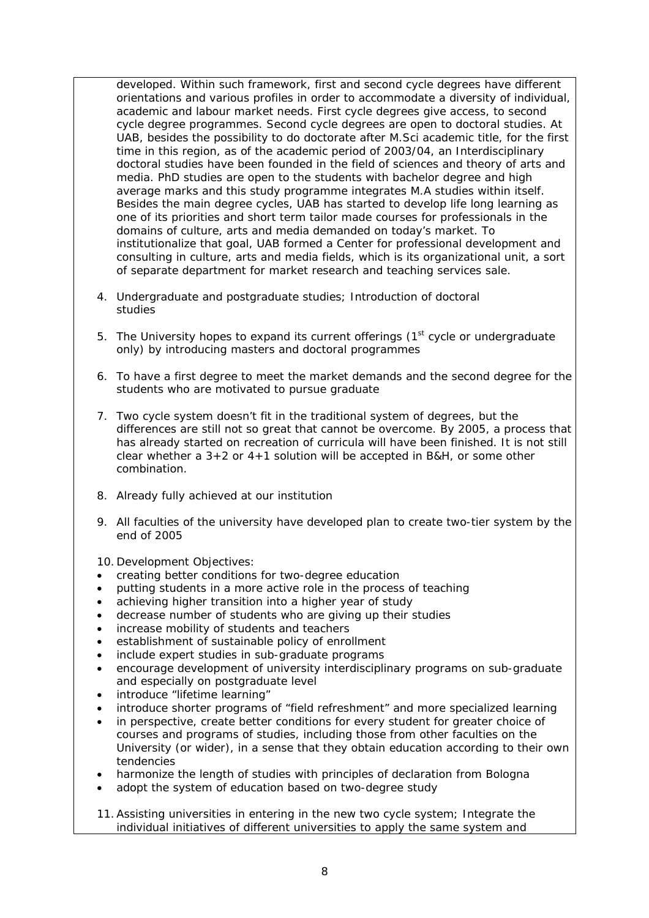developed. Within such framework, first and second cycle degrees have different orientations and various profiles in order to accommodate a diversity of individual, academic and labour market needs. First cycle degrees give access, to second cycle degree programmes. Second cycle degrees are open to doctoral studies. At UAB, besides the possibility to do doctorate after M.Sci academic title, for the first time in this region, as of the academic period of 2003/04, an Interdisciplinary doctoral studies have been founded in the field of sciences and theory of arts and media. PhD studies are open to the students with bachelor degree and high average marks and this study programme integrates M.A studies within itself. Besides the main degree cycles, UAB has started to develop life long learning as one of its priorities and short term tailor made courses for professionals in the domains of culture, arts and media demanded on today's market. To institutionalize that goal, UAB formed a Center for professional development and consulting in culture, arts and media fields, which is its organizational unit, a sort of separate department for market research and teaching services sale.

- 4. Undergraduate and postgraduate studies; Introduction of doctoral studies
- 5. The University hopes to expand its current offerings  $(1<sup>st</sup>$  cycle or undergraduate only) by introducing masters and doctoral programmes
- 6. To have a first degree to meet the market demands and the second degree for the students who are motivated to pursue graduate
- 7. Two cycle system doesn't fit in the traditional system of degrees, but the differences are still not so great that cannot be overcome. By 2005, a process that has already started on recreation of curricula will have been finished. It is not still clear whether a  $3+2$  or  $4+1$  solution will be accepted in B&H, or some other combination.
- 8. Already fully achieved at our institution
- 9. All faculties of the university have developed plan to create two-tier system by the end of 2005

10. Development Objectives:

- creating better conditions for two-degree education
- putting students in a more active role in the process of teaching
- achieving higher transition into a higher year of study
- decrease number of students who are giving up their studies
- increase mobility of students and teachers
- establishment of sustainable policy of enrollment
- include expert studies in sub-graduate programs
- encourage development of university interdisciplinary programs on sub-graduate and especially on postgraduate level
- introduce "lifetime learning"
- introduce shorter programs of "field refreshment" and more specialized learning
- in perspective, create better conditions for every student for greater choice of courses and programs of studies, including those from other faculties on the University (or wider), in a sense that they obtain education according to their own tendencies
- harmonize the length of studies with principles of declaration from Bologna
- adopt the system of education based on two-degree study
- 11.Assisting universities in entering in the new two cycle system; Integrate the individual initiatives of different universities to apply the same system and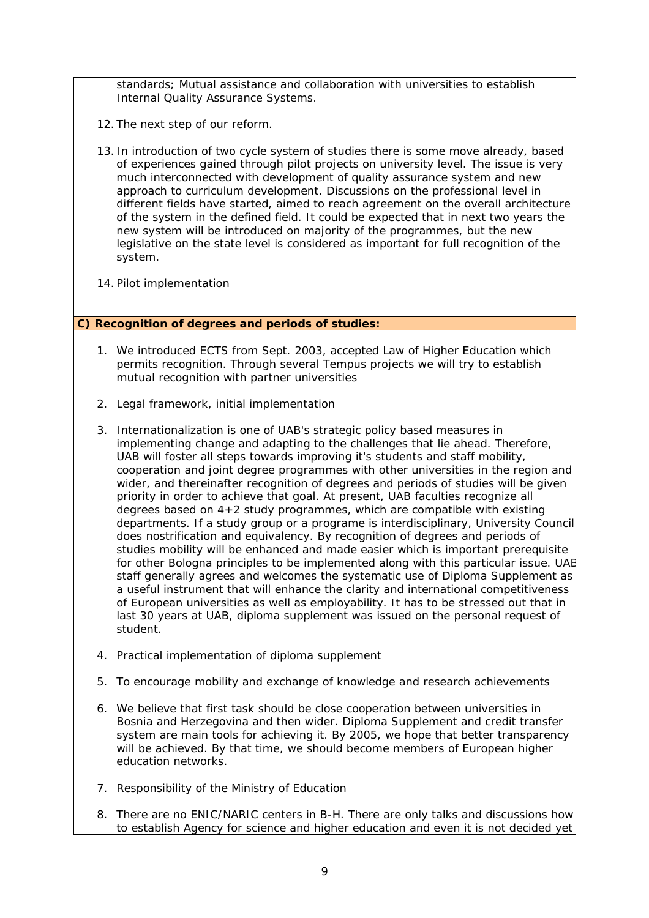standards; Mutual assistance and collaboration with universities to establish Internal Quality Assurance Systems.

- 12. The next step of our reform.
- 13. In introduction of two cycle system of studies there is some move already, based of experiences gained through pilot projects on university level. The issue is very much interconnected with development of quality assurance system and new approach to curriculum development. Discussions on the professional level in different fields have started, aimed to reach agreement on the overall architecture of the system in the defined field. It could be expected that in next two years the new system will be introduced on majority of the programmes, but the new legislative on the state level is considered as important for full recognition of the system.
- 14. Pilot implementation

#### **C) Recognition of degrees and periods of studies:**

- 1. We introduced ECTS from Sept. 2003, accepted Law of Higher Education which permits recognition. Through several Tempus projects we will try to establish mutual recognition with partner universities
- 2. Legal framework, initial implementation
- 3. Internationalization is one of UAB's strategic policy based measures in implementing change and adapting to the challenges that lie ahead. Therefore, UAB will foster all steps towards improving it's students and staff mobility, cooperation and joint degree programmes with other universities in the region and wider, and thereinafter recognition of degrees and periods of studies will be given priority in order to achieve that goal. At present, UAB faculties recognize all degrees based on 4+2 study programmes, which are compatible with existing departments. If a study group or a programe is interdisciplinary, University Council does nostrification and equivalency. By recognition of degrees and periods of studies mobility will be enhanced and made easier which is important prerequisite for other Bologna principles to be implemented along with this particular issue. UAB staff generally agrees and welcomes the systematic use of Diploma Supplement as a useful instrument that will enhance the clarity and international competitiveness of European universities as well as employability. It has to be stressed out that in last 30 years at UAB, diploma supplement was issued on the personal request of student.
- 4. Practical implementation of diploma supplement
- 5. To encourage mobility and exchange of knowledge and research achievements
- 6. We believe that first task should be close cooperation between universities in Bosnia and Herzegovina and then wider. Diploma Supplement and credit transfer system are main tools for achieving it. By 2005, we hope that better transparency will be achieved. By that time, we should become members of European higher education networks.
- 7. Responsibility of the Ministry of Education
- 8. There are no ENIC/NARIC centers in B-H. There are only talks and discussions how to establish Agency for science and higher education and even it is not decided yet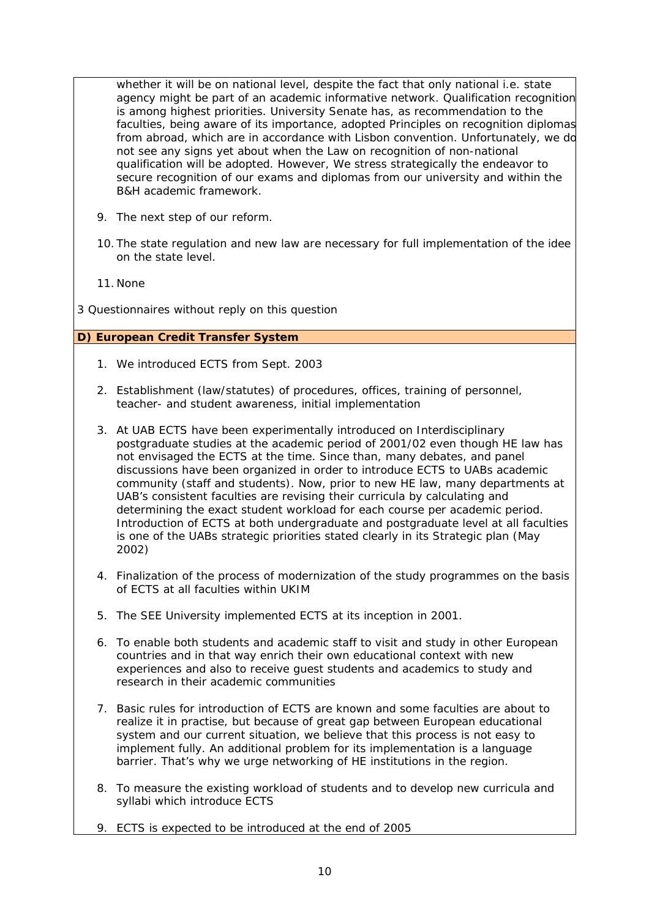whether it will be on national level, despite the fact that only national i.e. state agency might be part of an academic informative network. Qualification recognition is among highest priorities. University Senate has, as recommendation to the faculties, being aware of its importance, adopted Principles on recognition diplomas from abroad, which are in accordance with Lisbon convention. Unfortunately, we do not see any signs yet about when the Law on recognition of non-national qualification will be adopted. However, We stress strategically the endeavor to secure recognition of our exams and diplomas from our university and within the B&H academic framework.

- 9. The next step of our reform.
- 10. The state regulation and new law are necessary for full implementation of the idee on the state level.
- 11. None
- *3 Questionnaires without reply on this question*

#### **D) European Credit Transfer System**

- 1. We introduced ECTS from Sept. 2003
- 2. Establishment (law/statutes) of procedures, offices, training of personnel, teacher- and student awareness, initial implementation
- 3. At UAB ECTS have been experimentally introduced on Interdisciplinary postgraduate studies at the academic period of 2001/02 even though HE law has not envisaged the ECTS at the time. Since than, many debates, and panel discussions have been organized in order to introduce ECTS to UABs academic community (staff and students). Now, prior to new HE law, many departments at UAB's consistent faculties are revising their curricula by calculating and determining the exact student workload for each course per academic period. Introduction of ECTS at both undergraduate and postgraduate level at all faculties is one of the UABs strategic priorities stated clearly in its Strategic plan (May 2002)
- 4. Finalization of the process of modernization of the study programmes on the basis of ECTS at all faculties within UKIM
- 5. The SEE University implemented ECTS at its inception in 2001.
- 6. To enable both students and academic staff to visit and study in other European countries and in that way enrich their own educational context with new experiences and also to receive guest students and academics to study and research in their academic communities
- 7. Basic rules for introduction of ECTS are known and some faculties are about to realize it in practise, but because of great gap between European educational system and our current situation, we believe that this process is not easy to implement fully. An additional problem for its implementation is a language barrier. That's why we urge networking of HE institutions in the region.
- 8. To measure the existing workload of students and to develop new curricula and syllabi which introduce ECTS
- 9. ECTS is expected to be introduced at the end of 2005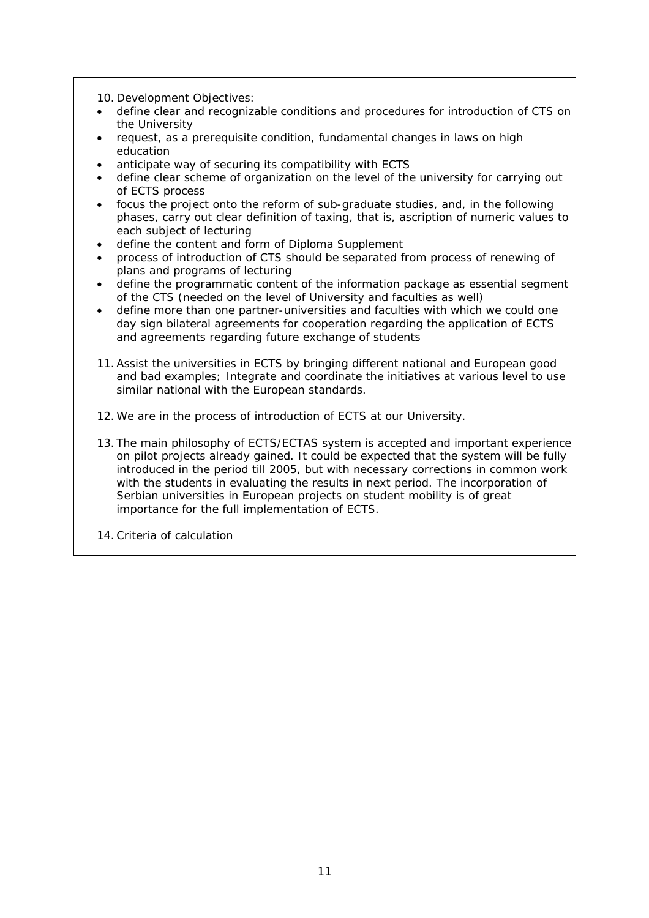10. Development Objectives:

- define clear and recognizable conditions and procedures for introduction of CTS on the University
- request, as a prerequisite condition, fundamental changes in laws on high education
- anticipate way of securing its compatibility with ECTS
- define clear scheme of organization on the level of the university for carrying out of ECTS process
- focus the project onto the reform of sub-graduate studies, and, in the following phases, carry out clear definition of taxing, that is, ascription of numeric values to each subject of lecturing
- define the content and form of Diploma Supplement
- process of introduction of CTS should be separated from process of renewing of plans and programs of lecturing
- define the programmatic content of the information package as essential segment of the CTS (needed on the level of University and faculties as well)
- define more than one partner-universities and faculties with which we could one day sign bilateral agreements for cooperation regarding the application of ECTS and agreements regarding future exchange of students
- 11.Assist the universities in ECTS by bringing different national and European good and bad examples; Integrate and coordinate the initiatives at various level to use similar national with the European standards.
- 12.We are in the process of introduction of ECTS at our University.
- 13. The main philosophy of ECTS/ECTAS system is accepted and important experience on pilot projects already gained. It could be expected that the system will be fully introduced in the period till 2005, but with necessary corrections in common work with the students in evaluating the results in next period. The incorporation of Serbian universities in European projects on student mobility is of great importance for the full implementation of ECTS.
- 14.Criteria of calculation